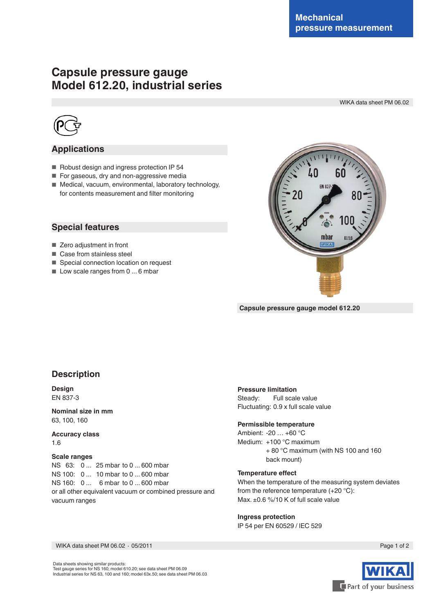# **Capsule pressure gauge Model 612.20, industrial series**

WIKA data sheet PM 06.02



## **Applications**

- Robust design and ingress protection IP 54
- For gaseous, dry and non-aggressive media
- Medical, vacuum, environmental, laboratory technology, for contents measurement and filter monitoring

### **Special features**

- Zero adjustment in front
- Case from stainless steel
- Special connection location on request
- Low scale ranges from 0 ... 6 mbar



**Capsule pressure gauge model 612.20**

## **Description**

**Design** EN 837-3

**Nominal size in mm** 63, 100, 160

**Accuracy class** 1.6

#### **Scale ranges**

NS 63: 0 ... 25 mbar to 0 ... 600 mbar NS 100: 0 ... 10 mbar to 0 ... 600 mbar NS 160: 0 ... 6 mbar to 0 ... 600 mbar or all other equivalent vacuum or combined pressure and vacuum ranges

#### **Pressure limitation**

Steady: Full scale value Fluctuating: 0.9 x full scale value

#### **Permissible temperature**

Ambient: -20 … +60 °C Medium: +100 °C maximum + 80 °C maximum (with NS 100 and 160 back mount)

#### **Temperature effect**

When the temperature of the measuring system deviates from the reference temperature (+20 °C): Max. ±0.6 %/10 K of full scale value

#### **Ingress protection**

IP 54 per EN 60529 / lEC 529

WIKA data sheet PM 06.02 ⋅ 05/2011 Page 1 of 2

Data sheets showing similar products: Test gauge series for NS 160; model 610.20; see data sheet PM 06.09 Industrial series for NS 63, 100 and 160; model 63x.50; see data sheet PM 06.03